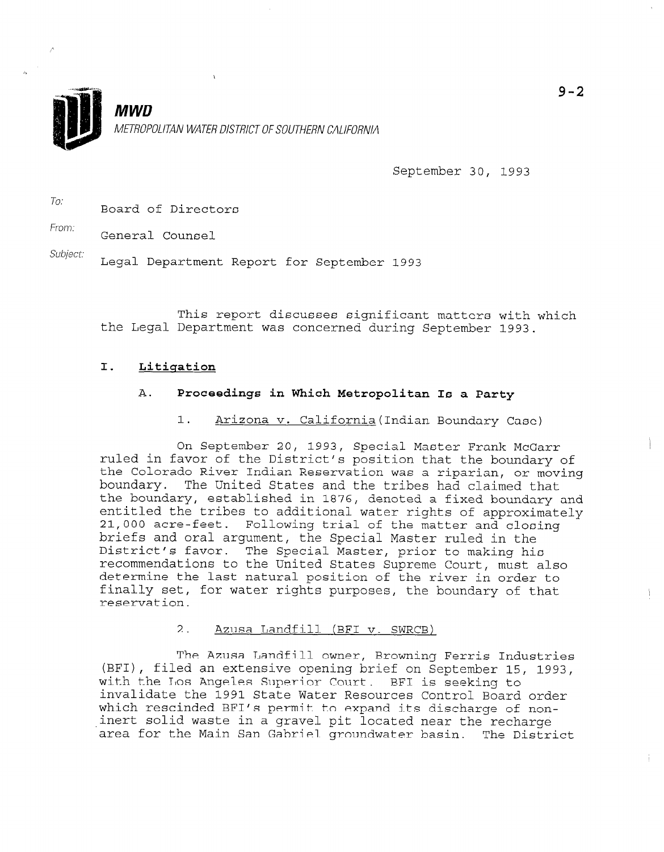

September 30, 1993

To: Board of Directors

From:

General Counsel

Subject.

Legal Department Report for September 1993

This report discusses significant matters with which the Legal Department was concerned during September 1993.

# I. Litiqation

# A. Proceedings in Which Metropolitan Is a Party

1. Arizona v. California (Indian Boundary Case)

On September 20, 1993, Special Master Frank McGarr ruled in the District of the District of the District of the District of District of District of the boundary o ruled in favor of the District's position that the boundary of the Colorado River Indian Reservation was a riparian, or moving boundary. The United States and the tribes had claimed that the boundary, established in 1876, denoted a fixed boundary and entitled the tribes to additional water rights of approximately 21,000 acre-feet. Following trial of the matter and closing briefs and oral argument, the Special Master ruled in the District's favor. The Special Master, prior to making his recommendations to the United States Supreme Court, must also determine the last natural position of the river in order to finally set, for water rights purposes, the boundary of that<br>reservation.

#### $2.1$ Azusa Landfill (BFI v. SWRCB)

The Azusa Landfill owner, Browning Ferris Industries (BFI), filed an extensive opening brief on September 15, 1993, with the Los Angeles Superior Court. BFI is seeking to invalidate the 1991 State Water Resources Control Board order which rescinded BFI's permit to expand its discharge of noninert solid waste in a gravel pit located near the recharge area for the Main San Gabriel groundwater basin. The District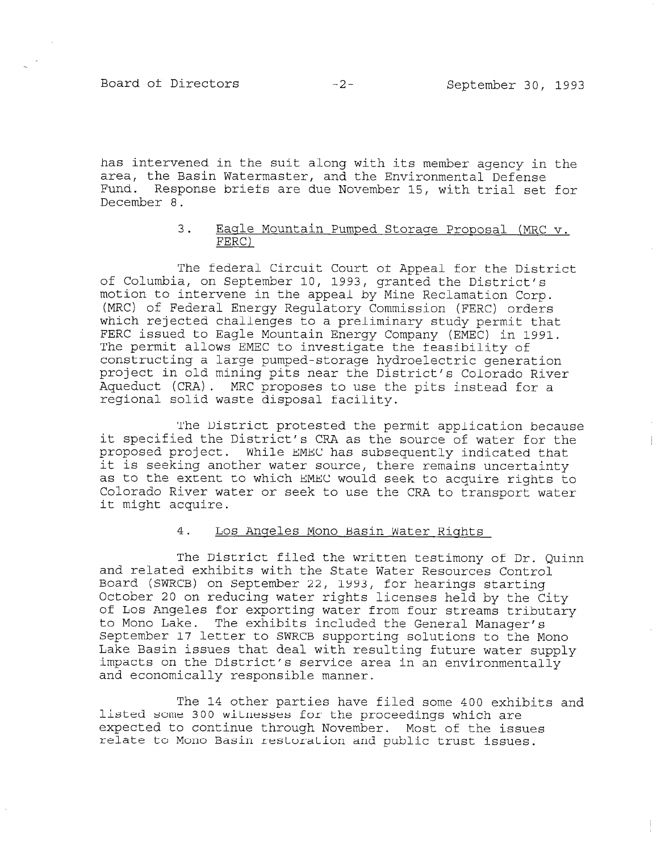Board of Directors -2- September 30, 1993

 $\frac{1}{2}$ 

has intervened in the suit along with its member agency in the area, the Basin Watermaster, and the Environmental Defense Fund. Response briefs are due November 15, with trial set for December 8.

## 3. Eagle Mountain Pumped Storage Proposal (MRC v. FERC)

The federal Circuit Court of Appeal for the District of Columbia, on September 10, 1993, granted the District's motion to intervene in the appeal by Mine Reclamation Corp. motion to intervene in the appeal by Mine Reclamation Corp.<br>(MRC) of Federal Energy Regulatory Commission (FERC) orders which or rederations to a prediction of the prediction of the prediction of the prediction of the prediction of the prediction of the prediction of the prediction of the prediction of the prediction of the prediction of th WHICH ISJECTED CHAILENGES CO A PIELIMINALY SCUOL PERMIL CHA FERC issued to Eagle Mountain Energy Company (EMEC) in 1991. The permit allows EMEC to investigate the feasibility of constructing a large pumped-storage hydroelectric generation project in old mining pits near the District's Colorado River Aqueduct (CRA). MRC proposes to use the pits instead for a regional solid waste disposal facility.

The District protested the permit application because  $\mathcal{D}_\mathbf{p}$ it specified the District protested the permit application because it specified the District's CRA as the source of water for the proposed project. While EMEC has subsequently indicated that it is seeking another water source, there remains uncertainty as to the extent to which EMEC would seek to acquire rights to Colorado River water or seek to use the CRA to transport water<br>it might acquire.

# 4. Los Angeles Mono Basin Water Rights

The District filed the written testimony of Dr. Quinn and related exhibits with the State Water Resources Control Board (SWRCB) on September 22, 1993, for hearings starting October 20 on reducing water rights licenses held by the C: of Los Angeles for exporting water from four streams tributary to Mono Lake. The exhibits included the General Manager's September 17 letter to SWRCB supporting solutions to the Mono Lake Basin issues that deal with resulting future water supply impacts on the District's service area in an environmentally and economically responsible manner.

The 14 other parties have filed some 400 exhibits and listed some 300 witnesses for the proceedings which are expected to continue through November. Most of the issues relate to Mono Basin restoration and public trust issues.

The 14 other parties have filed some 400 exhibits and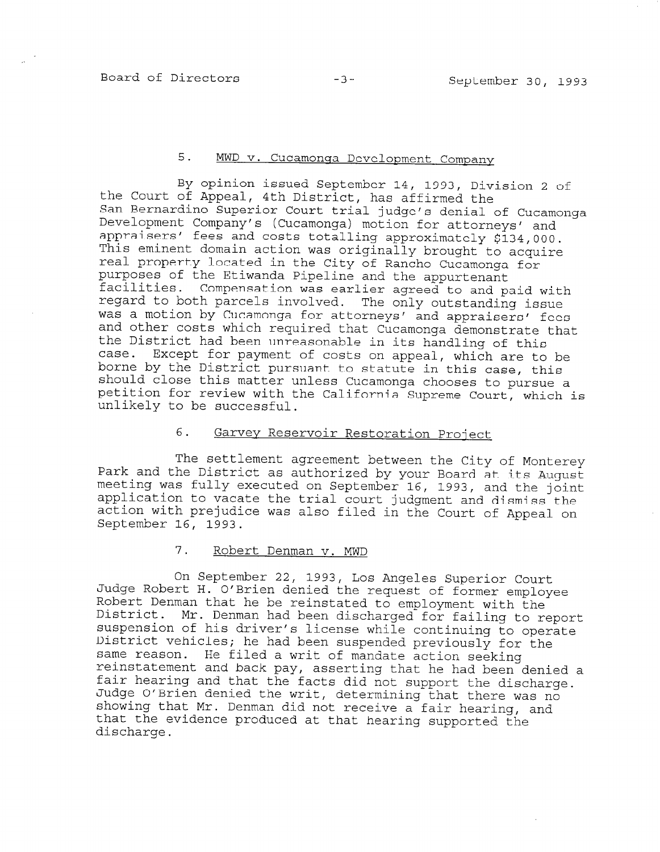# 5. MWD v. Cucamonga Development Company

By opinion issued September 14, 1993, Division 2 of the Court of Appeal, 4th District, has affirmed the San Bernardino Superior Court trial judge's denial of Cucamonga Development Company's (Cucamonga) motion for attorneys' and appraisers' fees and costs totalling approximately \$134,00 This eminent domain action was originally brought to acqui real property located in the City of Rancho Cucamonga for purposes of the Etiwanda Pipeline and the appurtenant facilities. Compensation was earlier agreed to and paid with regard to both parcels involved. The only outstanding issue was a motion by Cucamonga for attorneys' and appraisers' fees and other costs which required that Cucamonga demonstrate that the District had been unreasonable in its handling of this case. Except for payment of costs on appeal, which are to be borne by the District pursuant to statute in this case, this should close this matter unless Cucamonga chooses to pursue a petition for review with the California Supreme Court, which is unlikely to be successful.

# 6. Garvev Reservoir Restoration Project

The settlement agreement between the City of Monterey Park and the District as authorized by your Board at its August  $\frac{1}{2}$  meeting was fully executed on September 1793, your board at its Augu application to vacate the trial coupling  $\frac{1}{2}$  and dispident and displaced  $\frac{1}{2}$  coupling the trial coupling  $\frac{1}{2}$  and  $\frac{1}{2}$  and  $\frac{1}{2}$  and  $\frac{1}{2}$  and  $\frac{1}{2}$  and  $\frac{1}{2}$  and  $\frac{1}{2}$  and  $\frac{1}{$ application to vacate the trial court judgment and dismiss the action with prejudice was also filed in the Court of Appeal on September 16, 1993.

# 7. Robert Denman v. MWD

On September 22, 1993, Los Angeles Superior Court Judge Robert H. O'Brien denied the request of former employee Pause Robert H. O biren denied the request of former employ nobele bemman that he be reinstated to employment with the biscript. M. Denman had been discharged for failing to rep District vehicles; he had been suspended previously for the same reason. He had been suspended previously for reinstatement and back pay, asserting that he had been denied and he had been dening and he had been dening and he had been dening and he had been dening and he had been dening and he had been dening and he had been dening feinstatement and back pay, asserting that he had been deni Lair Hearing and that the facts did not support the discharg<br>Judge O'Brien denied the writ Judge O'Brien denied the writ, determining that there was no that the term of the term of the term in the term in the term in the term in the set of the term in the term i<br>Support the term in the term in the term in the term in the term in the term in the term in the term in the te red the wilt, determining that there was no nat mi. Denman did not receive a fair hearing, that the evidence produced at that hearing supported the discharge.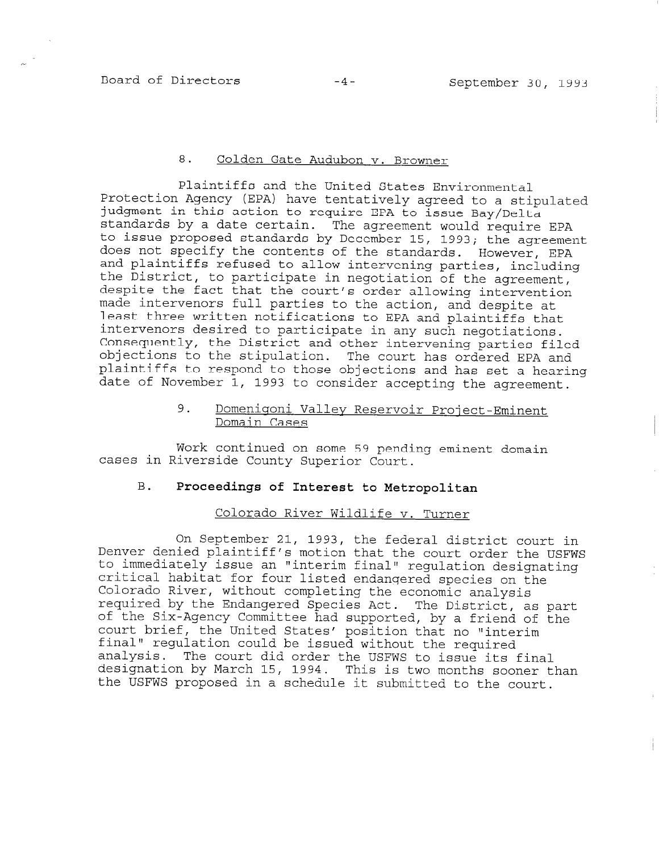#### 8. Golden Gate Audubon v. Browner

Plaintiffs and the United States Environmental Protection Agency (EPA) have tentatively agreed to a stipulated judgment in this action to require EPA to issue Bay/Delta standards by a date certain. The agreement would require EPA to issue proposed standards by December 15, 1993; the agreement does not specify the contents of the standards. However, EPA and plaintiffs refused to allow intervening parties, including the District, to participate in negotiation of the agreement, despite the fact that the court's order allowing intervention made intervenors full parties to the action, and despite at least three written notifications to EPA and plaintiffs that intervenors desired to participate in any such negotiations. Consequently, the District and other intervening parties filed objections to the stipulation. The court has ordered EPA and plaintiffs to respond to those objections and has set a hearing date of November  $1$ , 1993 to consider accepting the agreement.

# 9. Domenigoni Valley Reservoir Project-Eminent Domain Cases

Work continued on some 59 pending eminent domain cases in Riverside County Superior Court.

# B. Proceedings of Interest to Metropolitan

## Colorado River Wildlife v. Turner

On September 21, 1993, the federal district court in Denver denied plaintiff's motion that the court order the USFWS to immediately issue an "interim final" regulation designating critical habitat for four listed endangered species on the Colorado River, without completing the economic analysis cororado hiver, without compreting the economic analysis Lequited by Committed species Act. The District, as partof the bix-Agency Committee had Supported, by a friend four bires, the onlined beates position that no "in final" regulation could be issued without the required<br>analysis. The court did order the USFWS to issue its final did that is the court did order the USFWS to ISSUE ITS IINAI designation by March 15, 1994. This is two months sooner